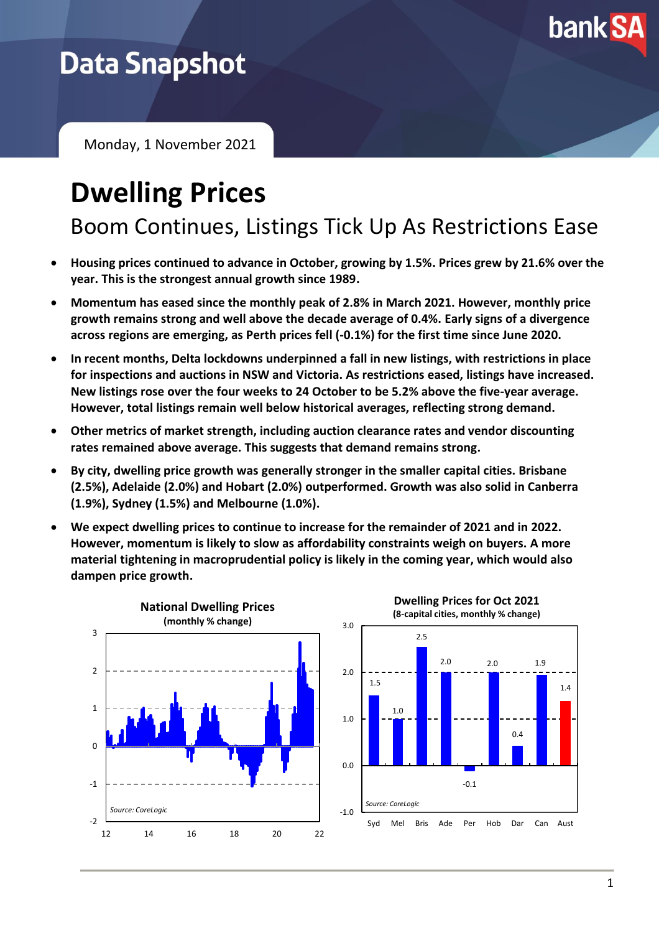

## **Data Snapshot**

Monday, 1 November 2021

# **Dwelling Prices**

Boom Continues, Listings Tick Up As Restrictions Ease

- **Housing prices continued to advance in October, growing by 1.5%. Prices grew by 21.6% over the year. This is the strongest annual growth since 1989.**
- **Momentum has eased since the monthly peak of 2.8% in March 2021. However, monthly price growth remains strong and well above the decade average of 0.4%. Early signs of a divergence across regions are emerging, as Perth prices fell (-0.1%) for the first time since June 2020.**
- **In recent months, Delta lockdowns underpinned a fall in new listings, with restrictions in place for inspections and auctions in NSW and Victoria. As restrictions eased, listings have increased. New listings rose over the four weeks to 24 October to be 5.2% above the five-year average. However, total listings remain well below historical averages, reflecting strong demand.**
- **Other metrics of market strength, including auction clearance rates and vendor discounting rates remained above average. This suggests that demand remains strong.**
- **By city, dwelling price growth was generally stronger in the smaller capital cities. Brisbane (2.5%), Adelaide (2.0%) and Hobart (2.0%) outperformed. Growth was also solid in Canberra (1.9%), Sydney (1.5%) and Melbourne (1.0%).**
- **We expect dwelling prices to continue to increase for the remainder of 2021 and in 2022. However, momentum is likely to slow as affordability constraints weigh on buyers. A more material tightening in macroprudential policy is likely in the coming year, which would also dampen price growth.**

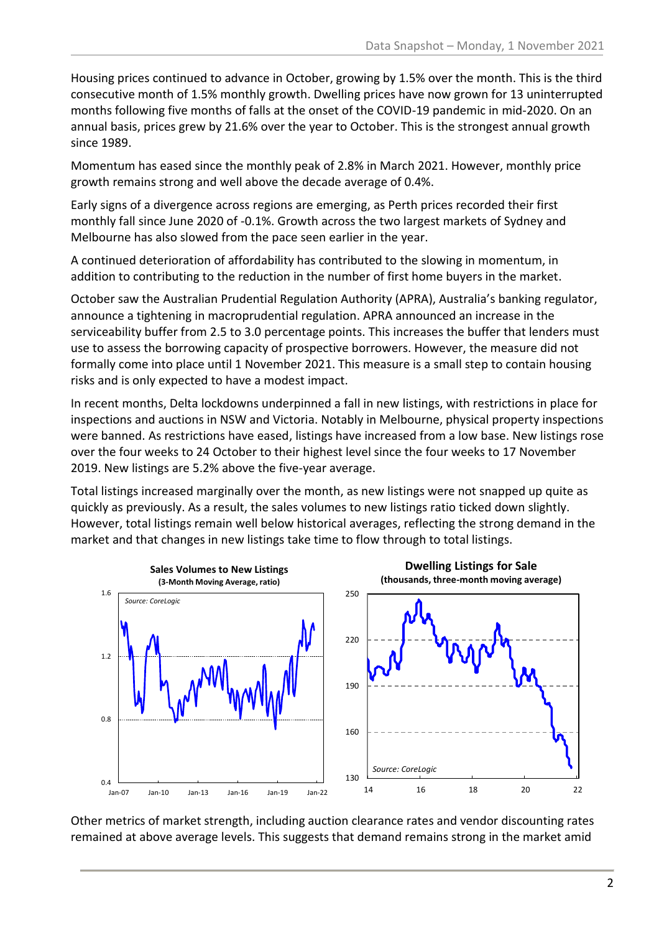Housing prices continued to advance in October, growing by 1.5% over the month. This is the third consecutive month of 1.5% monthly growth. Dwelling prices have now grown for 13 uninterrupted months following five months of falls at the onset of the COVID-19 pandemic in mid-2020. On an annual basis, prices grew by 21.6% over the year to October. This is the strongest annual growth since 1989.

Momentum has eased since the monthly peak of 2.8% in March 2021. However, monthly price growth remains strong and well above the decade average of 0.4%.

Early signs of a divergence across regions are emerging, as Perth prices recorded their first monthly fall since June 2020 of -0.1%. Growth across the two largest markets of Sydney and Melbourne has also slowed from the pace seen earlier in the year.

A continued deterioration of affordability has contributed to the slowing in momentum, in addition to contributing to the reduction in the number of first home buyers in the market.

October saw the Australian Prudential Regulation Authority (APRA), Australia's banking regulator, announce a tightening in macroprudential regulation. APRA announced an increase in the serviceability buffer from 2.5 to 3.0 percentage points. This increases the buffer that lenders must use to assess the borrowing capacity of prospective borrowers. However, the measure did not formally come into place until 1 November 2021. This measure is a small step to contain housing risks and is only expected to have a modest impact.

In recent months, Delta lockdowns underpinned a fall in new listings, with restrictions in place for inspections and auctions in NSW and Victoria. Notably in Melbourne, physical property inspections were banned. As restrictions have eased, listings have increased from a low base. New listings rose over the four weeks to 24 October to their highest level since the four weeks to 17 November 2019. New listings are 5.2% above the five-year average.

Total listings increased marginally over the month, as new listings were not snapped up quite as quickly as previously. As a result, the sales volumes to new listings ratio ticked down slightly. However, total listings remain well below historical averages, reflecting the strong demand in the market and that changes in new listings take time to flow through to total listings.



Other metrics of market strength, including auction clearance rates and vendor discounting rates remained at above average levels. This suggests that demand remains strong in the market amid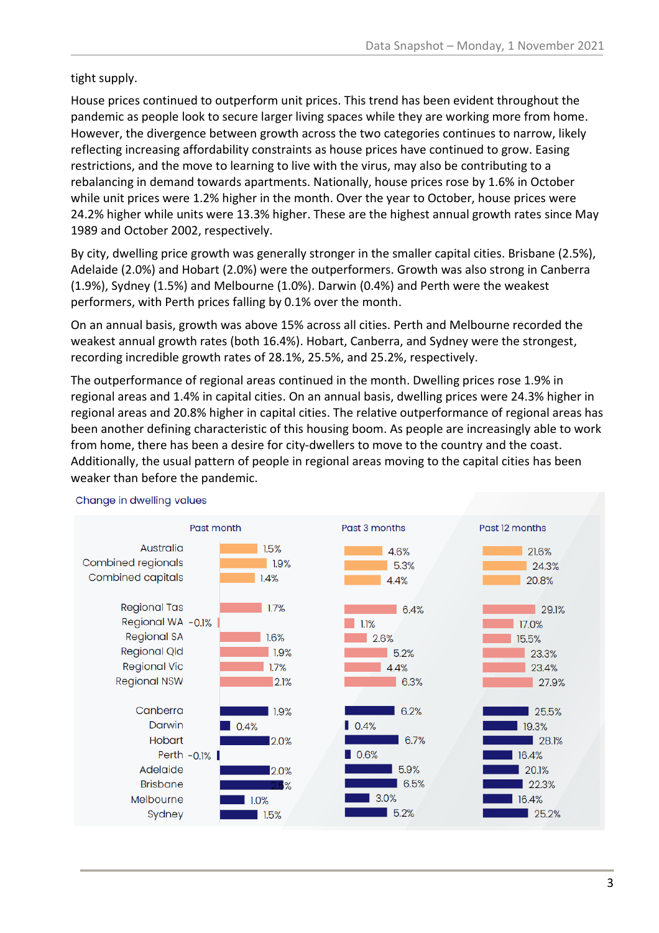### tight supply.

House prices continued to outperform unit prices. This trend has been evident throughout the pandemic as people look to secure larger living spaces while they are working more from home. However, the divergence between growth across the two categories continues to narrow, likely reflecting increasing affordability constraints as house prices have continued to grow. Easing restrictions, and the move to learning to live with the virus, may also be contributing to a rebalancing in demand towards apartments. Nationally, house prices rose by 1.6% in October while unit prices were 1.2% higher in the month. Over the year to October, house prices were 24.2% higher while units were 13.3% higher. These are the highest annual growth rates since May 1989 and October 2002, respectively.

By city, dwelling price growth was generally stronger in the smaller capital cities. Brisbane (2.5%), Adelaide (2.0%) and Hobart (2.0%) were the outperformers. Growth was also strong in Canberra (1.9%), Sydney (1.5%) and Melbourne (1.0%). Darwin (0.4%) and Perth were the weakest performers, with Perth prices falling by 0.1% over the month.

On an annual basis, growth was above 15% across all cities. Perth and Melbourne recorded the weakest annual growth rates (both 16.4%). Hobart, Canberra, and Sydney were the strongest, recording incredible growth rates of 28.1%, 25.5%, and 25.2%, respectively.

The outperformance of regional areas continued in the month. Dwelling prices rose 1.9% in regional areas and 1.4% in capital cities. On an annual basis, dwelling prices were 24.3% higher in regional areas and 20.8% higher in capital cities. The relative outperformance of regional areas has been another defining characteristic of this housing boom. As people are increasingly able to work from home, there has been a desire for city-dwellers to move to the country and the coast. Additionally, the usual pattern of people in regional areas moving to the capital cities has been weaker than before the pandemic.



#### Change in dwelling values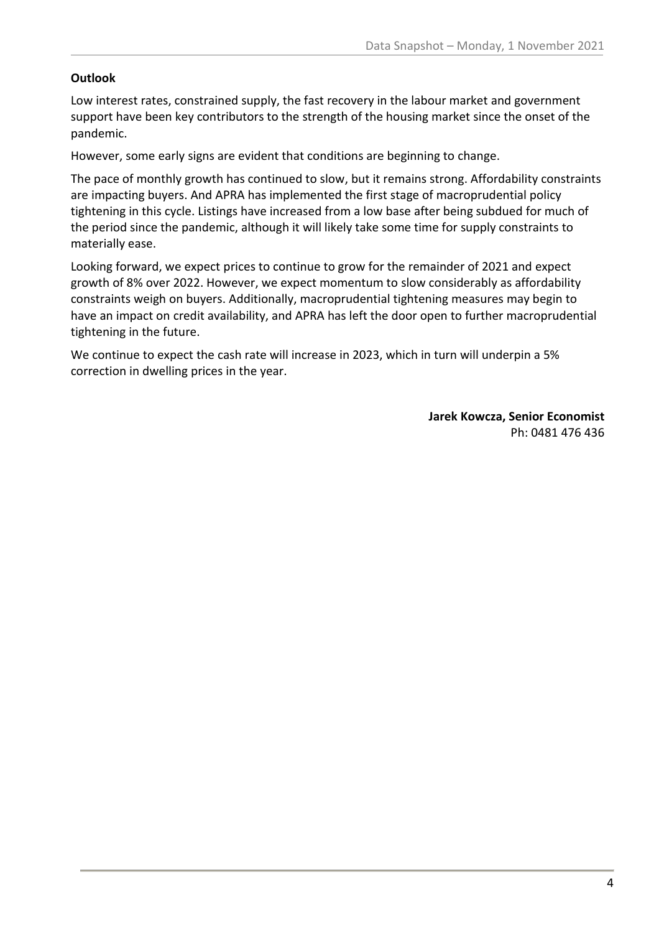#### **Outlook**

Low interest rates, constrained supply, the fast recovery in the labour market and government support have been key contributors to the strength of the housing market since the onset of the pandemic.

However, some early signs are evident that conditions are beginning to change.

The pace of monthly growth has continued to slow, but it remains strong. Affordability constraints are impacting buyers. And APRA has implemented the first stage of macroprudential policy tightening in this cycle. Listings have increased from a low base after being subdued for much of the period since the pandemic, although it will likely take some time for supply constraints to materially ease.

Looking forward, we expect prices to continue to grow for the remainder of 2021 and expect growth of 8% over 2022. However, we expect momentum to slow considerably as affordability constraints weigh on buyers. Additionally, macroprudential tightening measures may begin to have an impact on credit availability, and APRA has left the door open to further macroprudential tightening in the future.

We continue to expect the cash rate will increase in 2023, which in turn will underpin a 5% correction in dwelling prices in the year.

> **Jarek Kowcza, Senior Economist** Ph: 0481 476 436